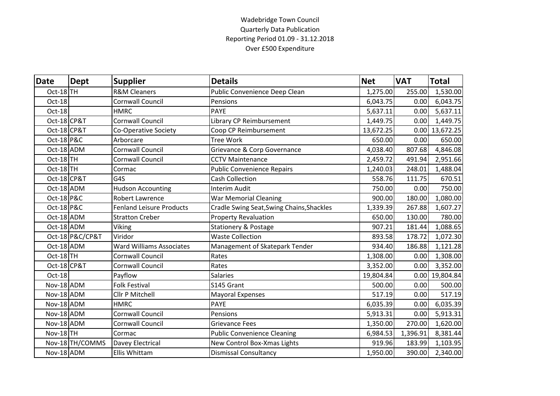## Wadebridge Town Council Quarterly Data Publication Reporting Period 01.09 - 31.12.2018 Over £500 Expenditure

| <b>Date</b>           | <b>Dept</b>     | <b>Supplier</b>                 | <b>Details</b>                            | <b>Net</b> | <b>VAT</b> | <b>Total</b>     |
|-----------------------|-----------------|---------------------------------|-------------------------------------------|------------|------------|------------------|
| Oct-18TH              |                 | <b>R&amp;M Cleaners</b>         | Public Convenience Deep Clean             | 1,275.00   | 255.00     | 1,530.00         |
| Oct-18                |                 | <b>Cornwall Council</b>         | Pensions                                  | 6,043.75   | 0.00       | 6,043.75         |
| Oct-18                |                 | <b>HMRC</b>                     | <b>PAYE</b>                               | 5,637.11   | 0.00       | 5,637.11         |
| Oct-18 CP&T           |                 | <b>Cornwall Council</b>         | Library CP Reimbursement                  | 1,449.75   | 0.00       | 1,449.75         |
| Oct-18 CP&T           |                 | Co-Operative Society            | Coop CP Reimbursement                     | 13,672.25  |            | $0.00$ 13,672.25 |
| Oct-18 P&C            |                 | Arborcare                       | <b>Tree Work</b>                          | 650.00     | 0.00       | 650.00           |
| Oct-18 ADM            |                 | <b>Cornwall Council</b>         | Grievance & Corp Governance               | 4,038.40   | 807.68     | 4,846.08         |
| Oct-18TH              |                 | <b>Cornwall Council</b>         | <b>CCTV Maintenance</b>                   | 2,459.72   | 491.94     | 2,951.66         |
| Oct-18TH              |                 | Cormac                          | <b>Public Convenience Repairs</b>         | 1,240.03   | 248.01     | 1,488.04         |
| Oct-18 CP&T           |                 | G4S                             | <b>Cash Collection</b>                    | 558.76     | 111.75     | 670.51           |
| Oct-18 ADM            |                 | <b>Hudson Accounting</b>        | <b>Interim Audit</b>                      | 750.00     | 0.00       | 750.00           |
| <b>Oct-18 P&amp;C</b> |                 | <b>Robert Lawrence</b>          | <b>War Memorial Cleaning</b>              | 900.00     | 180.00     | 1,080.00         |
| Oct-18 P&C            |                 | <b>Fenland Leisure Products</b> | Cradle Swing Seat, Swing Chains, Shackles | 1,339.39   | 267.88     | 1,607.27         |
| Oct-18 ADM            |                 | <b>Stratton Creber</b>          | <b>Property Revaluation</b>               | 650.00     | 130.00     | 780.00           |
| Oct-18 ADM            |                 | Viking                          | Stationery & Postage                      | 907.21     | 181.44     | 1,088.65         |
|                       | Oct-18 P&C/CP&T | Viridor                         | <b>Waste Collection</b>                   | 893.58     | 178.72     | 1,072.30         |
| Oct-18 ADM            |                 | <b>Ward Williams Associates</b> | Management of Skatepark Tender            | 934.40     | 186.88     | 1,121.28         |
| Oct-18TH              |                 | Cornwall Council                | Rates                                     | 1,308.00   | 0.00       | 1,308.00         |
| Oct-18 CP&T           |                 | <b>Cornwall Council</b>         | Rates                                     | 3,352.00   | 0.00       | 3,352.00         |
| Oct-18                |                 | Payflow                         | <b>Salaries</b>                           | 19,804.84  |            | 0.00 19,804.84   |
| Nov-18 ADM            |                 | <b>Folk Festival</b>            | S145 Grant                                | 500.00     | 0.00       | 500.00           |
| Nov-18 ADM            |                 | Cllr P Mitchell                 | <b>Mayoral Expenses</b>                   | 517.19     | 0.00       | 517.19           |
| Nov-18 ADM            |                 | <b>HMRC</b>                     | <b>PAYE</b>                               | 6,035.39   | 0.00       | 6,035.39         |
| Nov-18 ADM            |                 | <b>Cornwall Council</b>         | Pensions                                  | 5,913.31   | 0.00       | 5,913.31         |
| Nov-18 ADM            |                 | <b>Cornwall Council</b>         | Grievance Fees                            | 1,350.00   | 270.00     | 1,620.00         |
| <b>Nov-18</b> TH      |                 | Cormac                          | <b>Public Convenience Cleaning</b>        | 6,984.53   | 1,396.91   | 8,381.44         |
|                       | Nov-18 TH/COMMS | Davey Electrical                | New Control Box-Xmas Lights               | 919.96     | 183.99     | 1,103.95         |
| Nov-18 ADM            |                 | Ellis Whittam                   | <b>Dismissal Consultancy</b>              | 1,950.00   | 390.00     | 2,340.00         |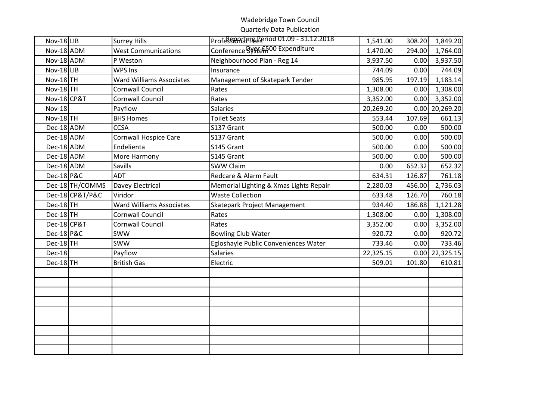## Wadebridge Town Council

Quarterly Data Publication

| $Nov-18$ LIB          |                 | <b>Surrey Hills</b>             | Profession direction 01.09 - 31.12.2018 | 1,541.00  | 308.20 | 1,849.20         |
|-----------------------|-----------------|---------------------------------|-----------------------------------------|-----------|--------|------------------|
| Nov-18 ADM            |                 | <b>West Communications</b>      | Conference Gy Steff 00 Expenditure      | 1,470.00  | 294.00 | 1,764.00         |
| Nov-18 ADM            |                 | P Weston                        | Neighbourhood Plan - Reg 14             | 3,937.50  | 0.00   | 3,937.50         |
| Nov-18 LIB            |                 | WPS Ins                         | Insurance                               | 744.09    | 0.00   | 744.09           |
| <b>Nov-18</b> TH      |                 | <b>Ward Williams Associates</b> | Management of Skatepark Tender          | 985.95    | 197.19 | 1,183.14         |
| <b>Nov-18 TH</b>      |                 | <b>Cornwall Council</b>         | Rates                                   | 1,308.00  | 0.00   | 1,308.00         |
| Nov-18 CP&T           |                 | <b>Cornwall Council</b>         | Rates                                   | 3,352.00  | 0.00   | 3,352.00         |
| <b>Nov-18</b>         |                 | Payflow                         | <b>Salaries</b>                         | 20,269.20 |        | $0.00$ 20,269.20 |
| <b>Nov-18 TH</b>      |                 | <b>BHS Homes</b>                | <b>Toilet Seats</b>                     | 553.44    | 107.69 | 661.13           |
| Dec-18 ADM            |                 | <b>CCSA</b>                     | S137 Grant                              | 500.00    | 0.00   | 500.00           |
| Dec-18 ADM            |                 | <b>Cornwall Hospice Care</b>    | S137 Grant                              | 500.00    | 0.00   | 500.00           |
| Dec-18 ADM            |                 | Endelienta                      | S145 Grant                              | 500.00    | 0.00   | 500.00           |
| Dec-18 ADM            |                 | More Harmony                    | S145 Grant                              | 500.00    | 0.00   | 500.00           |
| Dec-18 ADM            |                 | Savills                         | <b>SWW Claim</b>                        | 0.00      | 652.32 | 652.32           |
| <b>Dec-18 P&amp;C</b> |                 | ADT                             | Redcare & Alarm Fault                   | 634.31    | 126.87 | 761.18           |
|                       | Dec-18 TH/COMMS | Davey Electrical                | Memorial Lighting & Xmas Lights Repair  | 2,280.03  | 456.00 | 2,736.03         |
|                       | Dec-18 CP&T/P&C | Viridor                         | <b>Waste Collection</b>                 | 633.48    | 126.70 | 760.18           |
| Dec-18TH              |                 | Ward Williams Associates        | Skatepark Project Management            | 934.40    | 186.88 | 1,121.28         |
| $Dec-18$ TH           |                 | <b>Cornwall Council</b>         | Rates                                   | 1,308.00  | 0.00   | 1,308.00         |
| Dec-18 CP&T           |                 | <b>Cornwall Council</b>         | Rates                                   | 3,352.00  | 0.00   | 3,352.00         |
| <b>Dec-18 P&amp;C</b> |                 | SWW                             | <b>Bowling Club Water</b>               | 920.72    | 0.00   | 920.72           |
| Dec-18TH              |                 | <b>SWW</b>                      | Egloshayle Public Conveniences Water    | 733.46    | 0.00   | 733.46           |
| Dec-18                |                 | Payflow                         | <b>Salaries</b>                         | 22,325.15 |        | $0.00$ 22,325.15 |
| $Dec-18$ TH           |                 | <b>British Gas</b>              | Electric                                | 509.01    | 101.80 | 610.81           |
|                       |                 |                                 |                                         |           |        |                  |
|                       |                 |                                 |                                         |           |        |                  |
|                       |                 |                                 |                                         |           |        |                  |
|                       |                 |                                 |                                         |           |        |                  |
|                       |                 |                                 |                                         |           |        |                  |
|                       |                 |                                 |                                         |           |        |                  |
|                       |                 |                                 |                                         |           |        |                  |
|                       |                 |                                 |                                         |           |        |                  |
|                       |                 |                                 |                                         |           |        |                  |